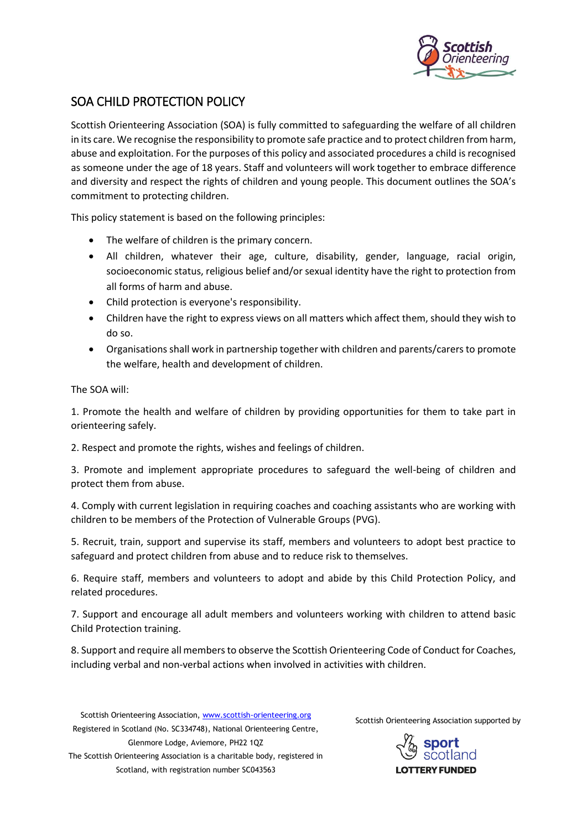

# SOA CHILD PROTECTION POLICY

Scottish Orienteering Association (SOA) is fully committed to safeguarding the welfare of all children in its care. We recognise the responsibility to promote safe practice and to protect children from harm, abuse and exploitation. For the purposes of this policy and associated procedures a child is recognised as someone under the age of 18 years. Staff and volunteers will work together to embrace difference and diversity and respect the rights of children and young people. This document outlines the SOA's commitment to protecting children.

This policy statement is based on the following principles:

- The welfare of children is the primary concern.
- All children, whatever their age, culture, disability, gender, language, racial origin, socioeconomic status, religious belief and/or sexual identity have the right to protection from all forms of harm and abuse.
- Child protection is everyone's responsibility.
- Children have the right to express views on all matters which affect them, should they wish to do so.
- Organisations shall work in partnership together with children and parents/carers to promote the welfare, health and development of children.

The SOA will:

1. Promote the health and welfare of children by providing opportunities for them to take part in orienteering safely.

2. Respect and promote the rights, wishes and feelings of children.

3. Promote and implement appropriate procedures to safeguard the well-being of children and protect them from abuse.

4. Comply with current legislation in requiring coaches and coaching assistants who are working with children to be members of the Protection of Vulnerable Groups (PVG).

5. Recruit, train, support and supervise its staff, members and volunteers to adopt best practice to safeguard and protect children from abuse and to reduce risk to themselves.

6. Require staff, members and volunteers to adopt and abide by this Child Protection Policy, and related procedures.

7. Support and encourage all adult members and volunteers working with children to attend basic Child Protection training.

8. Support and require all members to observe the Scottish Orienteering Code of Conduct for Coaches, including verbal and non-verbal actions when involved in activities with children.

Scottish Orienteering Association[, www.scottish-orienteering.org](http://www.scottish-orienteering.org/) Registered in Scotland (No. SC334748), National Orienteering Centre, Glenmore Lodge, Aviemore, PH22 1QZ The Scottish Orienteering Association is a charitable body, registered in Scotland, with registration number SC043563

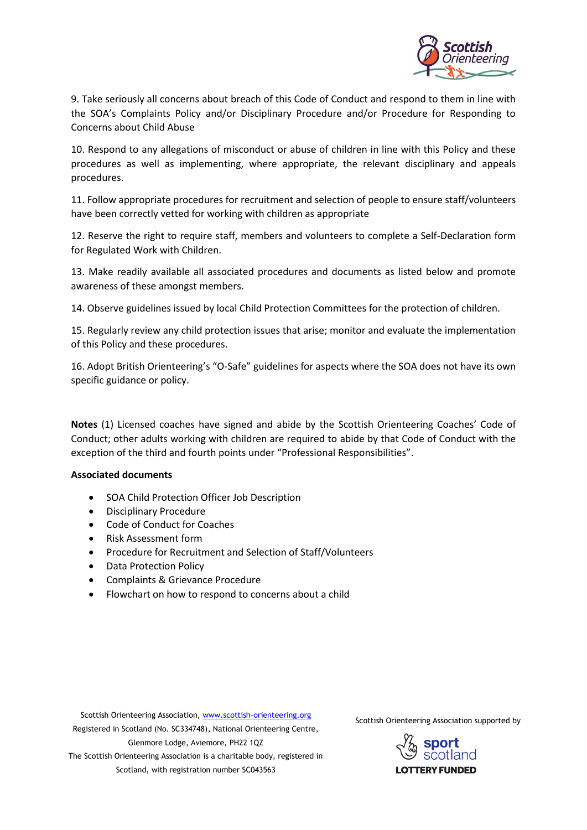

9. Take seriously all concerns about breach of this Code of Conduct and respond to them in line with the SOA's Complaints Policy and/or Disciplinary Procedure and/or Procedure for Responding to Concerns about Child Abuse

10. Respond to any allegations of misconduct or abuse of children in line with this Policy and these procedures as well as implementing, where appropriate, the relevant disciplinary and appeals procedures.

11. Follow appropriate procedures for recruitment and selection of people to ensure staff/volunteers have been correctly vetted for working with children as appropriate

12. Reserve the right to require staff, members and volunteers to complete a Self-Declaration form for Regulated Work with Children.

13. Make readily available all associated procedures and documents as listed below and promote awareness of these amongst members.

14. Observe guidelines issued by local Child Protection Committees for the protection of children.

15. Regularly review any child protection issues that arise; monitor and evaluate the implementation of this Policy and these procedures.

16. Adopt British Orienteering's "O-Safe" guidelines for aspects where the SOA does not have its own specific guidance or policy.

**Notes** (1) Licensed coaches have signed and abide by the Scottish Orienteering Coaches' Code of Conduct; other adults working with children are required to abide by that Code of Conduct with the exception of the third and fourth points under "Professional Responsibilities".

#### **Associated documents**

- SOA Child Protection Officer Job Description
- Disciplinary Procedure
- Code of Conduct for Coaches
- Risk Assessment form
- Procedure for Recruitment and Selection of Staff/Volunteers
- Data Protection Policy
- Complaints & Grievance Procedure
- Flowchart on how to respond to concerns about a child

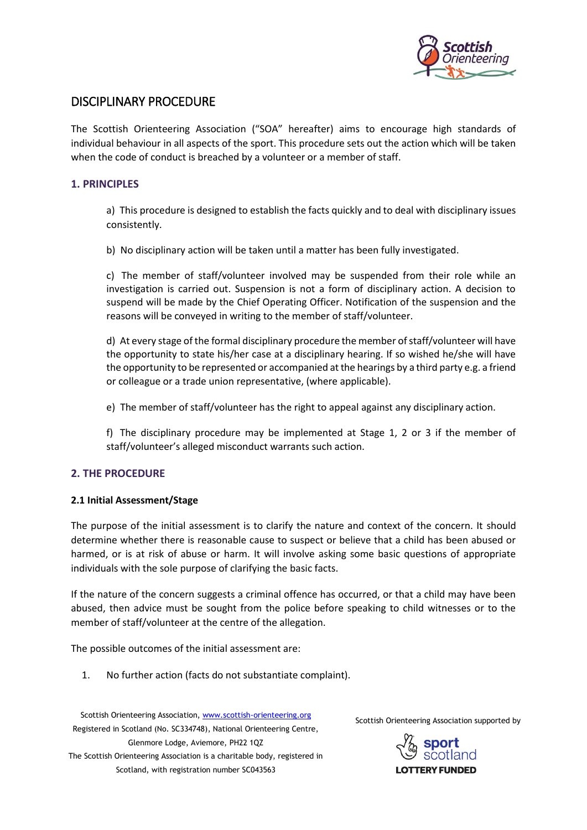

# DISCIPLINARY PROCEDURE

The Scottish Orienteering Association ("SOA" hereafter) aims to encourage high standards of individual behaviour in all aspects of the sport. This procedure sets out the action which will be taken when the code of conduct is breached by a volunteer or a member of staff.

# **1. PRINCIPLES**

a) This procedure is designed to establish the facts quickly and to deal with disciplinary issues consistently.

b) No disciplinary action will be taken until a matter has been fully investigated.

c) The member of staff/volunteer involved may be suspended from their role while an investigation is carried out. Suspension is not a form of disciplinary action. A decision to suspend will be made by the Chief Operating Officer. Notification of the suspension and the reasons will be conveyed in writing to the member of staff/volunteer.

d) At every stage of the formal disciplinary procedure the member of staff/volunteer will have the opportunity to state his/her case at a disciplinary hearing. If so wished he/she will have the opportunity to be represented or accompanied at the hearings by a third party e.g. a friend or colleague or a trade union representative, (where applicable).

e) The member of staff/volunteer has the right to appeal against any disciplinary action.

f) The disciplinary procedure may be implemented at Stage 1, 2 or 3 if the member of staff/volunteer's alleged misconduct warrants such action.

# **2. THE PROCEDURE**

#### **2.1 Initial Assessment/Stage**

The purpose of the initial assessment is to clarify the nature and context of the concern. It should determine whether there is reasonable cause to suspect or believe that a child has been abused or harmed, or is at risk of abuse or harm. It will involve asking some basic questions of appropriate individuals with the sole purpose of clarifying the basic facts.

If the nature of the concern suggests a criminal offence has occurred, or that a child may have been abused, then advice must be sought from the police before speaking to child witnesses or to the member of staff/volunteer at the centre of the allegation.

The possible outcomes of the initial assessment are:

1. No further action (facts do not substantiate complaint).

Scottish Orienteering Association[, www.scottish-orienteering.org](http://www.scottish-orienteering.org/) Registered in Scotland (No. SC334748), National Orienteering Centre, Glenmore Lodge, Aviemore, PH22 1QZ The Scottish Orienteering Association is a charitable body, registered in Scotland, with registration number SC043563

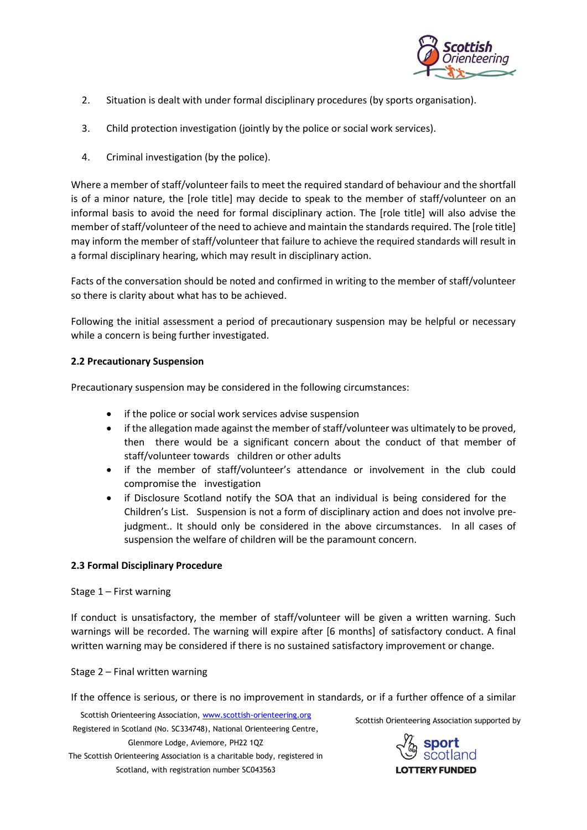

- 2. Situation is dealt with under formal disciplinary procedures (by sports organisation).
- 3. Child protection investigation (jointly by the police or social work services).
- 4. Criminal investigation (by the police).

Where a member of staff/volunteer fails to meet the required standard of behaviour and the shortfall is of a minor nature, the [role title] may decide to speak to the member of staff/volunteer on an informal basis to avoid the need for formal disciplinary action. The [role title] will also advise the member of staff/volunteer of the need to achieve and maintain the standards required. The [role title] may inform the member of staff/volunteer that failure to achieve the required standards will result in a formal disciplinary hearing, which may result in disciplinary action.

Facts of the conversation should be noted and confirmed in writing to the member of staff/volunteer so there is clarity about what has to be achieved.

Following the initial assessment a period of precautionary suspension may be helpful or necessary while a concern is being further investigated.

## **2.2 Precautionary Suspension**

Precautionary suspension may be considered in the following circumstances:

- if the police or social work services advise suspension
- if the allegation made against the member of staff/volunteer was ultimately to be proved, then there would be a significant concern about the conduct of that member of staff/volunteer towards children or other adults
- if the member of staff/volunteer's attendance or involvement in the club could compromise the investigation
- if Disclosure Scotland notify the SOA that an individual is being considered for the Children's List. Suspension is not a form of disciplinary action and does not involve prejudgment.. It should only be considered in the above circumstances. In all cases of suspension the welfare of children will be the paramount concern.

# **2.3 Formal Disciplinary Procedure**

Stage 1 – First warning

If conduct is unsatisfactory, the member of staff/volunteer will be given a written warning. Such warnings will be recorded. The warning will expire after [6 months] of satisfactory conduct. A final written warning may be considered if there is no sustained satisfactory improvement or change.

Stage 2 – Final written warning

If the offence is serious, or there is no improvement in standards, or if a further offence of a similar

Scottish Orienteering Association[, www.scottish-orienteering.org](http://www.scottish-orienteering.org/) Registered in Scotland (No. SC334748), National Orienteering Centre, Glenmore Lodge, Aviemore, PH22 1QZ The Scottish Orienteering Association is a charitable body, registered in Scotland, with registration number SC043563

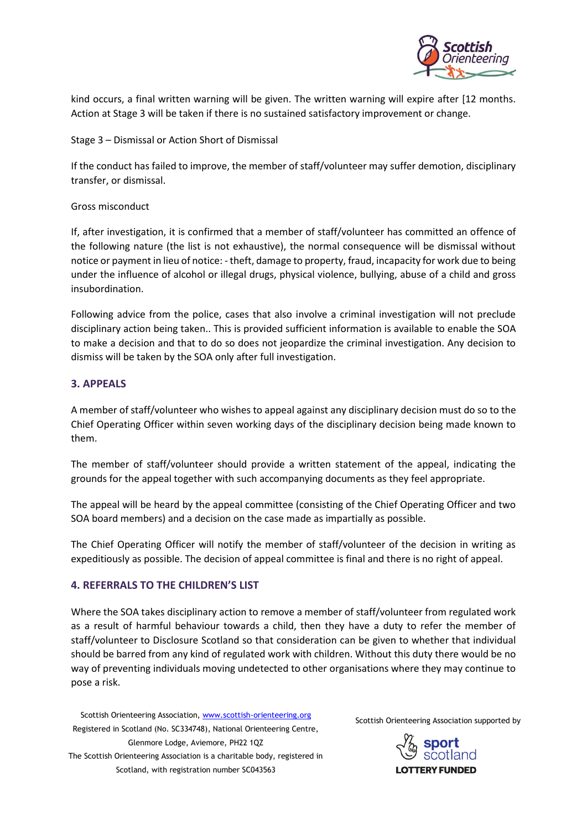

kind occurs, a final written warning will be given. The written warning will expire after [12 months. Action at Stage 3 will be taken if there is no sustained satisfactory improvement or change.

Stage 3 – Dismissal or Action Short of Dismissal

If the conduct has failed to improve, the member of staff/volunteer may suffer demotion, disciplinary transfer, or dismissal.

## Gross misconduct

If, after investigation, it is confirmed that a member of staff/volunteer has committed an offence of the following nature (the list is not exhaustive), the normal consequence will be dismissal without notice or payment in lieu of notice: - theft, damage to property, fraud, incapacity for work due to being under the influence of alcohol or illegal drugs, physical violence, bullying, abuse of a child and gross insubordination.

Following advice from the police, cases that also involve a criminal investigation will not preclude disciplinary action being taken.. This is provided sufficient information is available to enable the SOA to make a decision and that to do so does not jeopardize the criminal investigation. Any decision to dismiss will be taken by the SOA only after full investigation.

# **3. APPEALS**

A member of staff/volunteer who wishes to appeal against any disciplinary decision must do so to the Chief Operating Officer within seven working days of the disciplinary decision being made known to them.

The member of staff/volunteer should provide a written statement of the appeal, indicating the grounds for the appeal together with such accompanying documents as they feel appropriate.

The appeal will be heard by the appeal committee (consisting of the Chief Operating Officer and two SOA board members) and a decision on the case made as impartially as possible.

The Chief Operating Officer will notify the member of staff/volunteer of the decision in writing as expeditiously as possible. The decision of appeal committee is final and there is no right of appeal.

# **4. REFERRALS TO THE CHILDREN'S LIST**

Where the SOA takes disciplinary action to remove a member of staff/volunteer from regulated work as a result of harmful behaviour towards a child, then they have a duty to refer the member of staff/volunteer to Disclosure Scotland so that consideration can be given to whether that individual should be barred from any kind of regulated work with children. Without this duty there would be no way of preventing individuals moving undetected to other organisations where they may continue to pose a risk.

Scottish Orienteering Association[, www.scottish-orienteering.org](http://www.scottish-orienteering.org/) Registered in Scotland (No. SC334748), National Orienteering Centre, Glenmore Lodge, Aviemore, PH22 1QZ The Scottish Orienteering Association is a charitable body, registered in Scotland, with registration number SC043563

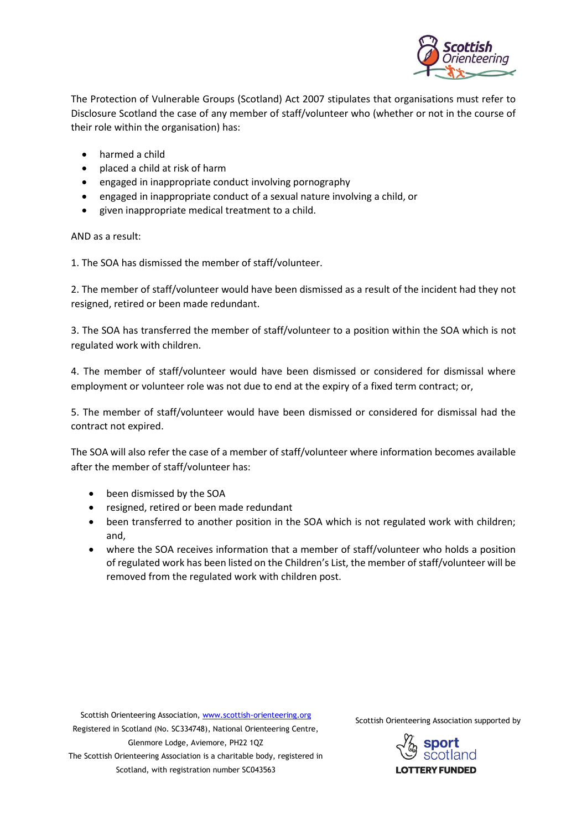

The Protection of Vulnerable Groups (Scotland) Act 2007 stipulates that organisations must refer to Disclosure Scotland the case of any member of staff/volunteer who (whether or not in the course of their role within the organisation) has:

- harmed a child
- placed a child at risk of harm
- engaged in inappropriate conduct involving pornography
- engaged in inappropriate conduct of a sexual nature involving a child, or
- given inappropriate medical treatment to a child.

AND as a result:

1. The SOA has dismissed the member of staff/volunteer.

2. The member of staff/volunteer would have been dismissed as a result of the incident had they not resigned, retired or been made redundant.

3. The SOA has transferred the member of staff/volunteer to a position within the SOA which is not regulated work with children.

4. The member of staff/volunteer would have been dismissed or considered for dismissal where employment or volunteer role was not due to end at the expiry of a fixed term contract; or,

5. The member of staff/volunteer would have been dismissed or considered for dismissal had the contract not expired.

The SOA will also refer the case of a member of staff/volunteer where information becomes available after the member of staff/volunteer has:

- been dismissed by the SOA
- resigned, retired or been made redundant
- been transferred to another position in the SOA which is not regulated work with children; and,
- where the SOA receives information that a member of staff/volunteer who holds a position of regulated work has been listed on the Children's List, the member of staff/volunteer will be removed from the regulated work with children post.

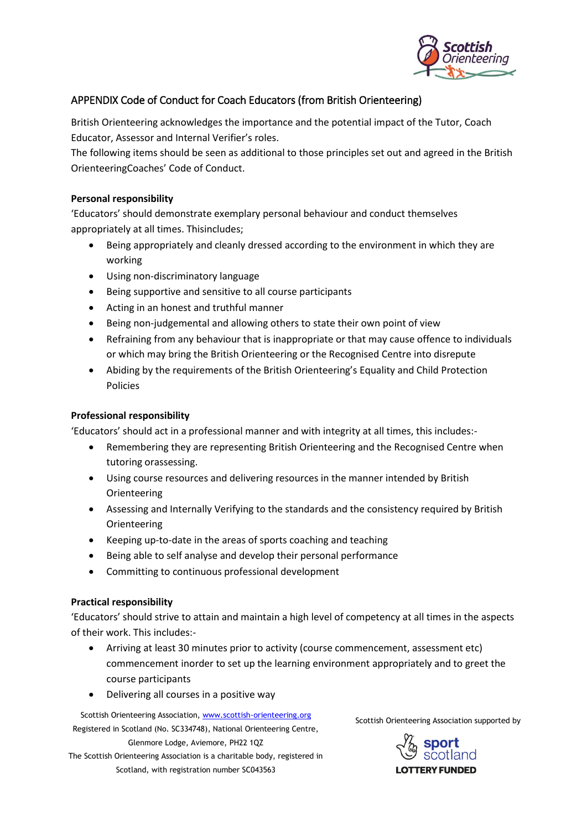

# APPENDIX Code of Conduct for Coach Educators (from British Orienteering)

British Orienteering acknowledges the importance and the potential impact of the Tutor, Coach Educator, Assessor and Internal Verifier's roles.

The following items should be seen as additional to those principles set out and agreed in the British OrienteeringCoaches' Code of Conduct.

# **Personal responsibility**

'Educators' should demonstrate exemplary personal behaviour and conduct themselves appropriately at all times. Thisincludes;

- Being appropriately and cleanly dressed according to the environment in which they are working
- Using non-discriminatory language
- Being supportive and sensitive to all course participants
- Acting in an honest and truthful manner
- Being non-judgemental and allowing others to state their own point of view
- Refraining from any behaviour that is inappropriate or that may cause offence to individuals or which may bring the British Orienteering or the Recognised Centre into disrepute
- Abiding by the requirements of the British Orienteering's Equality and Child Protection Policies

# **Professional responsibility**

'Educators' should act in a professional manner and with integrity at all times, this includes:-

- Remembering they are representing British Orienteering and the Recognised Centre when tutoring orassessing.
- Using course resources and delivering resources in the manner intended by British Orienteering
- Assessing and Internally Verifying to the standards and the consistency required by British **Orienteering**
- Keeping up-to-date in the areas of sports coaching and teaching
- Being able to self analyse and develop their personal performance
- Committing to continuous professional development

#### **Practical responsibility**

'Educators' should strive to attain and maintain a high level of competency at all times in the aspects of their work. This includes:-

- Arriving at least 30 minutes prior to activity (course commencement, assessment etc) commencement inorder to set up the learning environment appropriately and to greet the course participants
- Delivering all courses in a positive way

Scottish Orienteering Association[, www.scottish-orienteering.org](http://www.scottish-orienteering.org/) Registered in Scotland (No. SC334748), National Orienteering Centre, Glenmore Lodge, Aviemore, PH22 1QZ The Scottish Orienteering Association is a charitable body, registered in

Scotland, with registration number SC043563

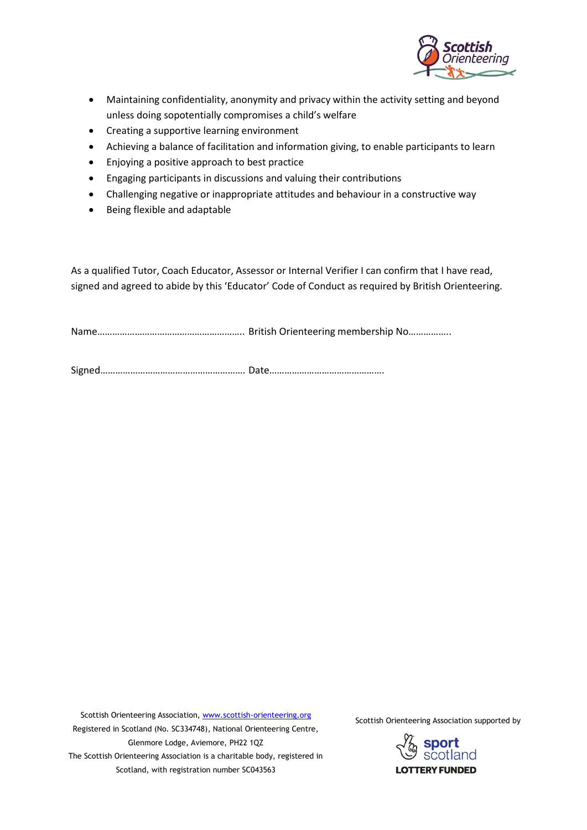

- Maintaining confidentiality, anonymity and privacy within the activity setting and beyond unless doing sopotentially compromises a child's welfare
- Creating a supportive learning environment
- Achieving a balance of facilitation and information giving, to enable participants to learn
- Enjoying a positive approach to best practice
- Engaging participants in discussions and valuing their contributions
- Challenging negative or inappropriate attitudes and behaviour in a constructive way
- Being flexible and adaptable

As a qualified Tutor, Coach Educator, Assessor or Internal Verifier I can confirm that I have read, signed and agreed to abide by this 'Educator' Code of Conduct as required by British Orienteering.

Name………………………………………………….. British Orienteering membership No……………..

Signed…………………………………………………. Date……………………………………….

Scottish Orienteering Association[, www.scottish-orienteering.org](http://www.scottish-orienteering.org/) Registered in Scotland (No. SC334748), National Orienteering Centre, Glenmore Lodge, Aviemore, PH22 1QZ The Scottish Orienteering Association is a charitable body, registered in Scotland, with registration number SC043563

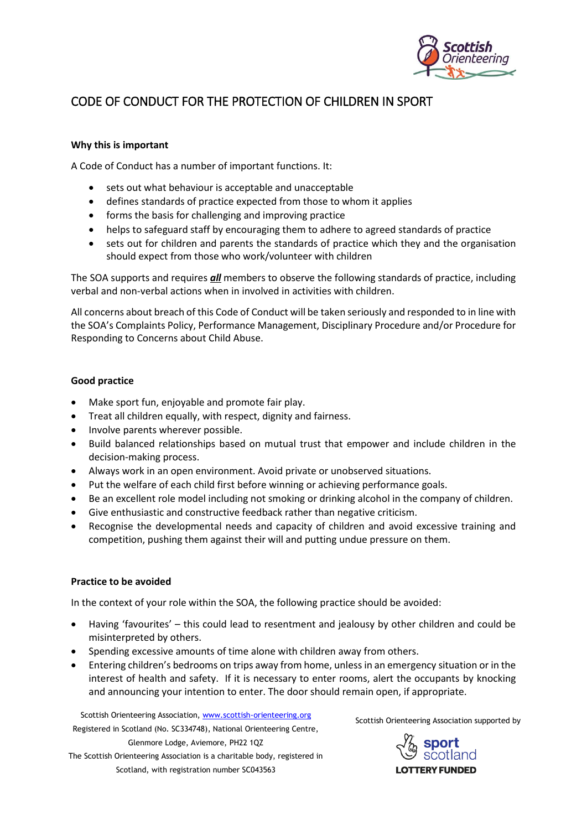

# CODE OF CONDUCT FOR THE PROTECTION OF CHILDREN IN SPORT

## **Why this is important**

A Code of Conduct has a number of important functions. It:

- sets out what behaviour is acceptable and unacceptable
- defines standards of practice expected from those to whom it applies
- forms the basis for challenging and improving practice
- helps to safeguard staff by encouraging them to adhere to agreed standards of practice
- sets out for children and parents the standards of practice which they and the organisation should expect from those who work/volunteer with children

The SOA supports and requires *all* members to observe the following standards of practice, including verbal and non-verbal actions when in involved in activities with children.

All concerns about breach of this Code of Conduct will be taken seriously and responded to in line with the SOA's Complaints Policy, Performance Management, Disciplinary Procedure and/or Procedure for Responding to Concerns about Child Abuse.

## **Good practice**

- Make sport fun, enjoyable and promote fair play.
- Treat all children equally, with respect, dignity and fairness.
- Involve parents wherever possible.
- Build balanced relationships based on mutual trust that empower and include children in the decision-making process.
- Always work in an open environment. Avoid private or unobserved situations.
- Put the welfare of each child first before winning or achieving performance goals.
- Be an excellent role model including not smoking or drinking alcohol in the company of children.
- Give enthusiastic and constructive feedback rather than negative criticism.
- Recognise the developmental needs and capacity of children and avoid excessive training and competition, pushing them against their will and putting undue pressure on them.

#### **Practice to be avoided**

In the context of your role within the SOA, the following practice should be avoided:

- Having 'favourites' this could lead to resentment and jealousy by other children and could be misinterpreted by others.
- Spending excessive amounts of time alone with children away from others.
- Entering children's bedrooms on trips away from home, unless in an emergency situation or in the interest of health and safety. If it is necessary to enter rooms, alert the occupants by knocking and announcing your intention to enter. The door should remain open, if appropriate.

Scottish Orienteering Association[, www.scottish-orienteering.org](http://www.scottish-orienteering.org/) Registered in Scotland (No. SC334748), National Orienteering Centre, Glenmore Lodge, Aviemore, PH22 1QZ The Scottish Orienteering Association is a charitable body, registered in Scotland, with registration number SC043563

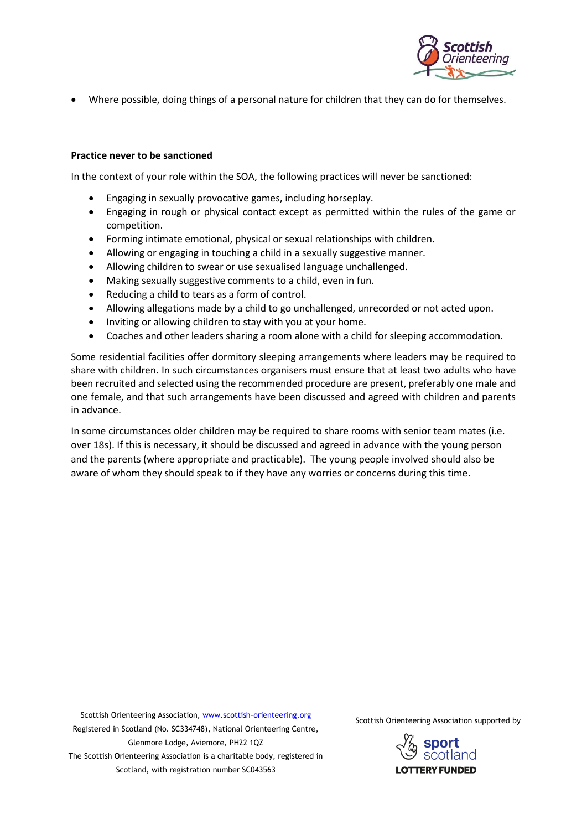

• Where possible, doing things of a personal nature for children that they can do for themselves.

#### **Practice never to be sanctioned**

In the context of your role within the SOA, the following practices will never be sanctioned:

- Engaging in sexually provocative games, including horseplay.
- Engaging in rough or physical contact except as permitted within the rules of the game or competition.
- Forming intimate emotional, physical or sexual relationships with children.
- Allowing or engaging in touching a child in a sexually suggestive manner.
- Allowing children to swear or use sexualised language unchallenged.
- Making sexually suggestive comments to a child, even in fun.
- Reducing a child to tears as a form of control.
- Allowing allegations made by a child to go unchallenged, unrecorded or not acted upon.
- Inviting or allowing children to stay with you at your home.
- Coaches and other leaders sharing a room alone with a child for sleeping accommodation.

Some residential facilities offer dormitory sleeping arrangements where leaders may be required to share with children. In such circumstances organisers must ensure that at least two adults who have been recruited and selected using the recommended procedure are present, preferably one male and one female, and that such arrangements have been discussed and agreed with children and parents in advance.

In some circumstances older children may be required to share rooms with senior team mates (i.e. over 18s). If this is necessary, it should be discussed and agreed in advance with the young person and the parents (where appropriate and practicable). The young people involved should also be aware of whom they should speak to if they have any worries or concerns during this time.

Scottish Orienteering Association[, www.scottish-orienteering.org](http://www.scottish-orienteering.org/) Registered in Scotland (No. SC334748), National Orienteering Centre, Glenmore Lodge, Aviemore, PH22 1QZ The Scottish Orienteering Association is a charitable body, registered in Scotland, with registration number SC043563

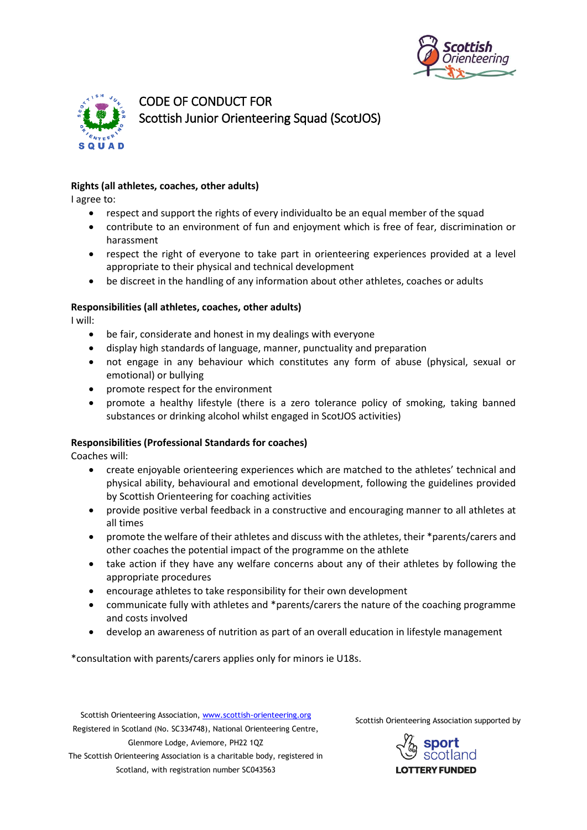



CODE OF CONDUCT FOR Scottish Junior Orienteering Squad (ScotJOS)

# **Rights (all athletes, coaches, other adults)**

I agree to:

- respect and support the rights of every individualto be an equal member of the squad
- contribute to an environment of fun and enjoyment which is free of fear, discrimination or harassment
- respect the right of everyone to take part in orienteering experiences provided at a level appropriate to their physical and technical development
- be discreet in the handling of any information about other athletes, coaches or adults

#### **Responsibilities (all athletes, coaches, other adults)**

I will:

- be fair, considerate and honest in my dealings with everyone
- display high standards of language, manner, punctuality and preparation
- not engage in any behaviour which constitutes any form of abuse (physical, sexual or emotional) or bullying
- promote respect for the environment
- promote a healthy lifestyle (there is a zero tolerance policy of smoking, taking banned substances or drinking alcohol whilst engaged in ScotJOS activities)

#### **Responsibilities (Professional Standards for coaches)**

Coaches will:

- create enjoyable orienteering experiences which are matched to the athletes' technical and physical ability, behavioural and emotional development, following the guidelines provided by Scottish Orienteering for coaching activities
- provide positive verbal feedback in a constructive and encouraging manner to all athletes at all times
- promote the welfare of their athletes and discuss with the athletes, their \*parents/carers and other coaches the potential impact of the programme on the athlete
- take action if they have any welfare concerns about any of their athletes by following the appropriate procedures
- encourage athletes to take responsibility for their own development
- communicate fully with athletes and \*parents/carers the nature of the coaching programme and costs involved
- develop an awareness of nutrition as part of an overall education in lifestyle management

\*consultation with parents/carers applies only for minors ie U18s.

Scottish Orienteering Association[, www.scottish-orienteering.org](http://www.scottish-orienteering.org/) Registered in Scotland (No. SC334748), National Orienteering Centre, Glenmore Lodge, Aviemore, PH22 1QZ The Scottish Orienteering Association is a charitable body, registered in Scotland, with registration number SC043563

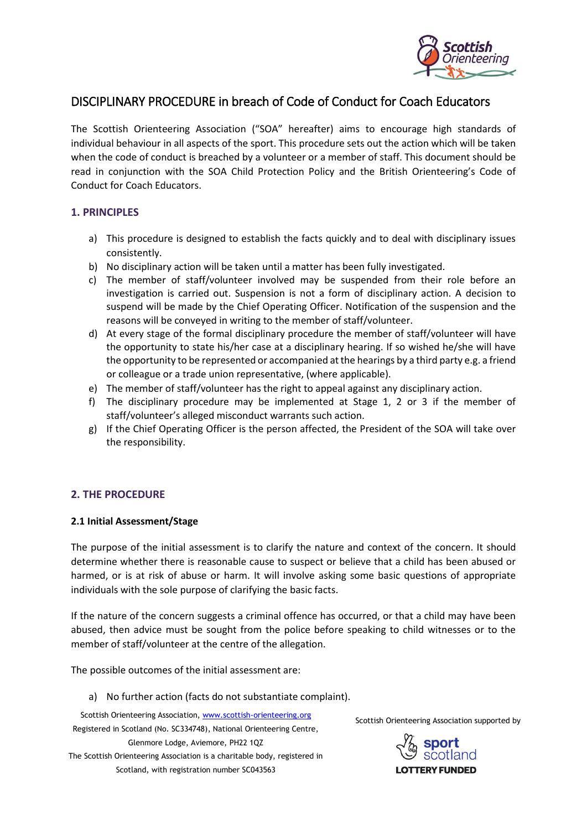

# DISCIPLINARY PROCEDURE in breach of Code of Conduct for Coach Educators

The Scottish Orienteering Association ("SOA" hereafter) aims to encourage high standards of individual behaviour in all aspects of the sport. This procedure sets out the action which will be taken when the code of conduct is breached by a volunteer or a member of staff. This document should be read in conjunction with the SOA Child Protection Policy and the British Orienteering's Code of Conduct for Coach Educators.

# **1. PRINCIPLES**

- a) This procedure is designed to establish the facts quickly and to deal with disciplinary issues consistently.
- b) No disciplinary action will be taken until a matter has been fully investigated.
- c) The member of staff/volunteer involved may be suspended from their role before an investigation is carried out. Suspension is not a form of disciplinary action. A decision to suspend will be made by the Chief Operating Officer. Notification of the suspension and the reasons will be conveyed in writing to the member of staff/volunteer.
- d) At every stage of the formal disciplinary procedure the member of staff/volunteer will have the opportunity to state his/her case at a disciplinary hearing. If so wished he/she will have the opportunity to be represented or accompanied at the hearings by a third party e.g. a friend or colleague or a trade union representative, (where applicable).
- e) The member of staff/volunteer has the right to appeal against any disciplinary action.
- f) The disciplinary procedure may be implemented at Stage 1, 2 or 3 if the member of staff/volunteer's alleged misconduct warrants such action.
- g) If the Chief Operating Officer is the person affected, the President of the SOA will take over the responsibility.

# **2. THE PROCEDURE**

#### **2.1 Initial Assessment/Stage**

The purpose of the initial assessment is to clarify the nature and context of the concern. It should determine whether there is reasonable cause to suspect or believe that a child has been abused or harmed, or is at risk of abuse or harm. It will involve asking some basic questions of appropriate individuals with the sole purpose of clarifying the basic facts.

If the nature of the concern suggests a criminal offence has occurred, or that a child may have been abused, then advice must be sought from the police before speaking to child witnesses or to the member of staff/volunteer at the centre of the allegation.

The possible outcomes of the initial assessment are:

a) No further action (facts do not substantiate complaint).

Scottish Orienteering Association[, www.scottish-orienteering.org](http://www.scottish-orienteering.org/) Registered in Scotland (No. SC334748), National Orienteering Centre, Glenmore Lodge, Aviemore, PH22 1QZ The Scottish Orienteering Association is a charitable body, registered in Scotland, with registration number SC043563

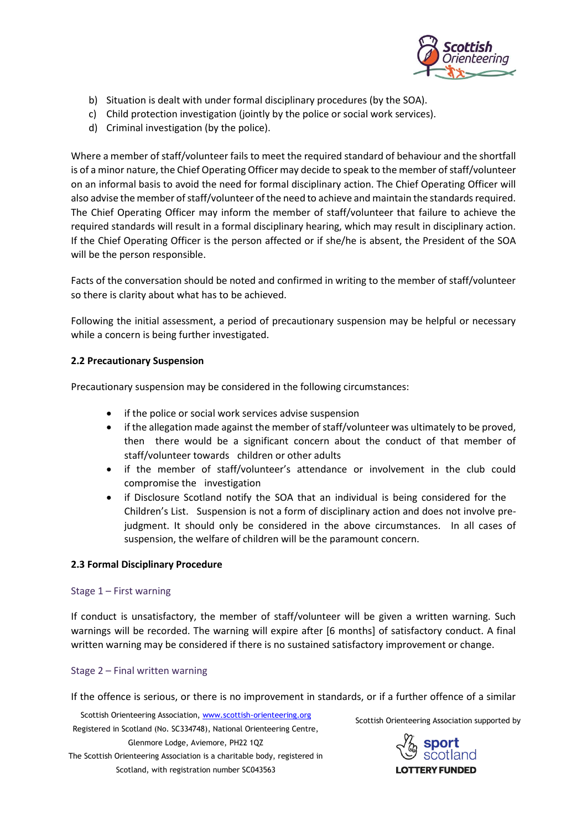

- b) Situation is dealt with under formal disciplinary procedures (by the SOA).
- c) Child protection investigation (jointly by the police or social work services).
- d) Criminal investigation (by the police).

Where a member of staff/volunteer fails to meet the required standard of behaviour and the shortfall is of a minor nature, the Chief Operating Officer may decide to speak to the member of staff/volunteer on an informal basis to avoid the need for formal disciplinary action. The Chief Operating Officer will also advise the member of staff/volunteer of the need to achieve and maintain the standards required. The Chief Operating Officer may inform the member of staff/volunteer that failure to achieve the required standards will result in a formal disciplinary hearing, which may result in disciplinary action. If the Chief Operating Officer is the person affected or if she/he is absent, the President of the SOA will be the person responsible.

Facts of the conversation should be noted and confirmed in writing to the member of staff/volunteer so there is clarity about what has to be achieved.

Following the initial assessment, a period of precautionary suspension may be helpful or necessary while a concern is being further investigated.

# **2.2 Precautionary Suspension**

Precautionary suspension may be considered in the following circumstances:

- if the police or social work services advise suspension
- if the allegation made against the member of staff/volunteer was ultimately to be proved, then there would be a significant concern about the conduct of that member of staff/volunteer towards children or other adults
- if the member of staff/volunteer's attendance or involvement in the club could compromise the investigation
- if Disclosure Scotland notify the SOA that an individual is being considered for the Children's List. Suspension is not a form of disciplinary action and does not involve prejudgment. It should only be considered in the above circumstances. In all cases of suspension, the welfare of children will be the paramount concern.

# **2.3 Formal Disciplinary Procedure**

#### Stage 1 – First warning

If conduct is unsatisfactory, the member of staff/volunteer will be given a written warning. Such warnings will be recorded. The warning will expire after [6 months] of satisfactory conduct. A final written warning may be considered if there is no sustained satisfactory improvement or change.

#### Stage 2 – Final written warning

If the offence is serious, or there is no improvement in standards, or if a further offence of a similar

Scottish Orienteering Association[, www.scottish-orienteering.org](http://www.scottish-orienteering.org/) Registered in Scotland (No. SC334748), National Orienteering Centre, Glenmore Lodge, Aviemore, PH22 1QZ The Scottish Orienteering Association is a charitable body, registered in Scotland, with registration number SC043563

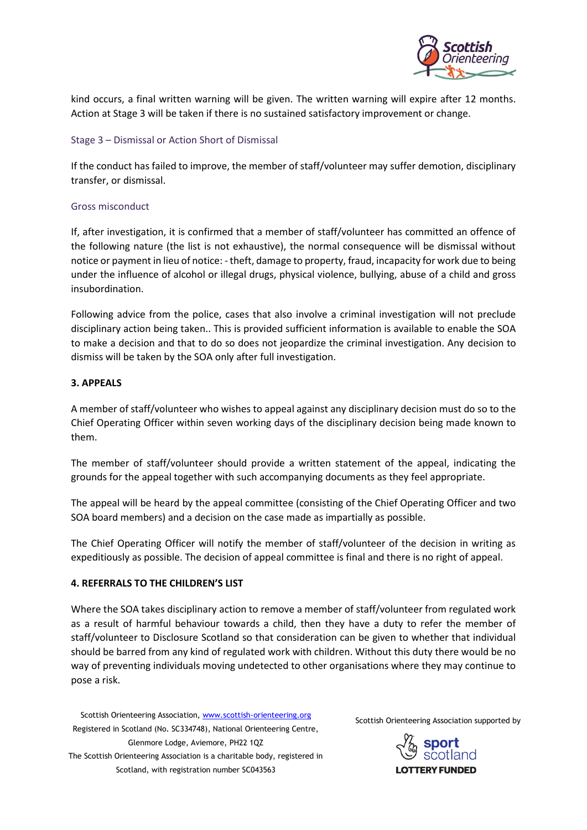

kind occurs, a final written warning will be given. The written warning will expire after 12 months. Action at Stage 3 will be taken if there is no sustained satisfactory improvement or change.

#### Stage 3 – Dismissal or Action Short of Dismissal

If the conduct has failed to improve, the member of staff/volunteer may suffer demotion, disciplinary transfer, or dismissal.

#### Gross misconduct

If, after investigation, it is confirmed that a member of staff/volunteer has committed an offence of the following nature (the list is not exhaustive), the normal consequence will be dismissal without notice or payment in lieu of notice: - theft, damage to property, fraud, incapacity for work due to being under the influence of alcohol or illegal drugs, physical violence, bullying, abuse of a child and gross insubordination.

Following advice from the police, cases that also involve a criminal investigation will not preclude disciplinary action being taken.. This is provided sufficient information is available to enable the SOA to make a decision and that to do so does not jeopardize the criminal investigation. Any decision to dismiss will be taken by the SOA only after full investigation.

## **3. APPEALS**

A member of staff/volunteer who wishes to appeal against any disciplinary decision must do so to the Chief Operating Officer within seven working days of the disciplinary decision being made known to them.

The member of staff/volunteer should provide a written statement of the appeal, indicating the grounds for the appeal together with such accompanying documents as they feel appropriate.

The appeal will be heard by the appeal committee (consisting of the Chief Operating Officer and two SOA board members) and a decision on the case made as impartially as possible.

The Chief Operating Officer will notify the member of staff/volunteer of the decision in writing as expeditiously as possible. The decision of appeal committee is final and there is no right of appeal.

# **4. REFERRALS TO THE CHILDREN'S LIST**

Where the SOA takes disciplinary action to remove a member of staff/volunteer from regulated work as a result of harmful behaviour towards a child, then they have a duty to refer the member of staff/volunteer to Disclosure Scotland so that consideration can be given to whether that individual should be barred from any kind of regulated work with children. Without this duty there would be no way of preventing individuals moving undetected to other organisations where they may continue to pose a risk.

Scottish Orienteering Association[, www.scottish-orienteering.org](http://www.scottish-orienteering.org/) Registered in Scotland (No. SC334748), National Orienteering Centre, Glenmore Lodge, Aviemore, PH22 1QZ The Scottish Orienteering Association is a charitable body, registered in Scotland, with registration number SC043563

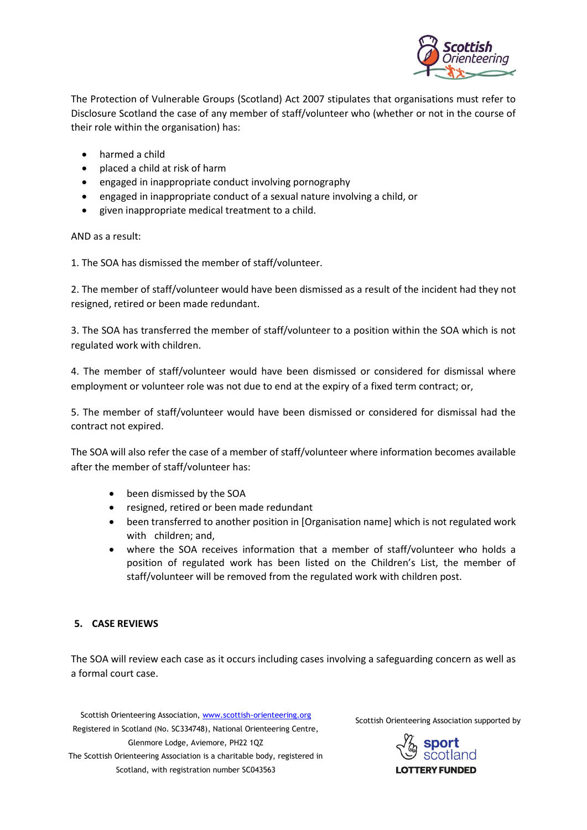

The Protection of Vulnerable Groups (Scotland) Act 2007 stipulates that organisations must refer to Disclosure Scotland the case of any member of staff/volunteer who (whether or not in the course of their role within the organisation) has:

- harmed a child
- placed a child at risk of harm
- engaged in inappropriate conduct involving pornography
- engaged in inappropriate conduct of a sexual nature involving a child, or
- given inappropriate medical treatment to a child.

AND as a result:

1. The SOA has dismissed the member of staff/volunteer.

2. The member of staff/volunteer would have been dismissed as a result of the incident had they not resigned, retired or been made redundant.

3. The SOA has transferred the member of staff/volunteer to a position within the SOA which is not regulated work with children.

4. The member of staff/volunteer would have been dismissed or considered for dismissal where employment or volunteer role was not due to end at the expiry of a fixed term contract; or,

5. The member of staff/volunteer would have been dismissed or considered for dismissal had the contract not expired.

The SOA will also refer the case of a member of staff/volunteer where information becomes available after the member of staff/volunteer has:

- been dismissed by the SOA
- resigned, retired or been made redundant
- been transferred to another position in [Organisation name] which is not regulated work with children; and,
- where the SOA receives information that a member of staff/volunteer who holds a position of regulated work has been listed on the Children's List, the member of staff/volunteer will be removed from the regulated work with children post.

# **5. CASE REVIEWS**

The SOA will review each case as it occurs including cases involving a safeguarding concern as well as a formal court case.

Scottish Orienteering Association[, www.scottish-orienteering.org](http://www.scottish-orienteering.org/) Registered in Scotland (No. SC334748), National Orienteering Centre, Glenmore Lodge, Aviemore, PH22 1QZ The Scottish Orienteering Association is a charitable body, registered in Scotland, with registration number SC043563

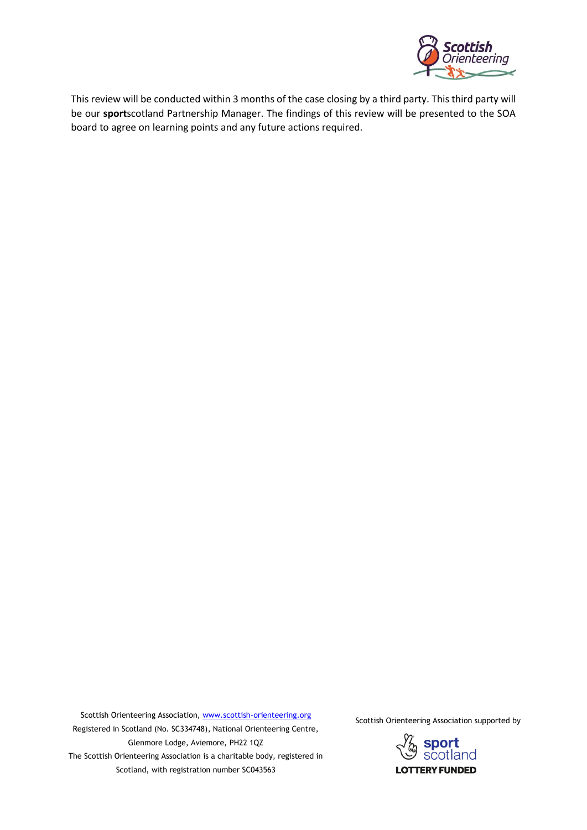

This review will be conducted within 3 months of the case closing by a third party. This third party will be our **sport**scotland Partnership Manager. The findings of this review will be presented to the SOA board to agree on learning points and any future actions required.

Scottish Orienteering Association[, www.scottish-orienteering.org](http://www.scottish-orienteering.org/) Registered in Scotland (No. SC334748), National Orienteering Centre, Glenmore Lodge, Aviemore, PH22 1QZ The Scottish Orienteering Association is a charitable body, registered in Scotland, with registration number SC043563

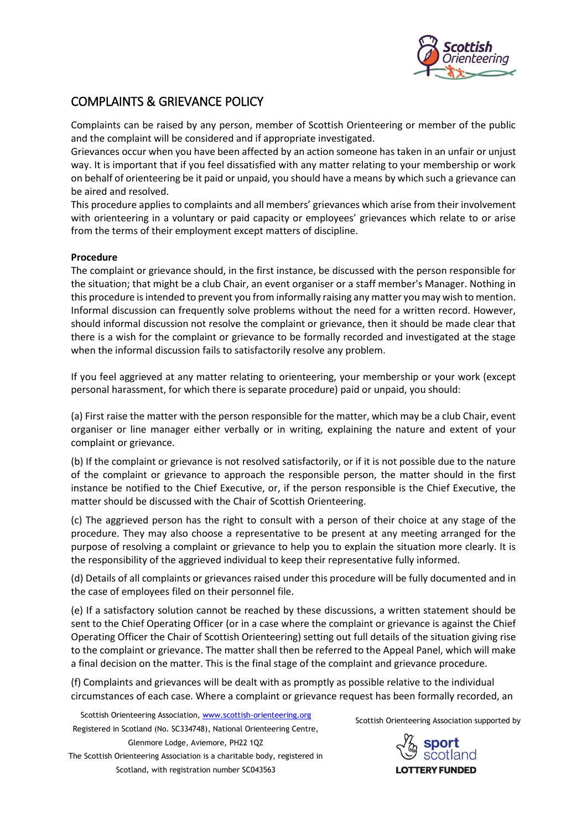

# COMPLAINTS & GRIEVANCE POLICY

Complaints can be raised by any person, member of Scottish Orienteering or member of the public and the complaint will be considered and if appropriate investigated.

Grievances occur when you have been affected by an action someone has taken in an unfair or unjust way. It is important that if you feel dissatisfied with any matter relating to your membership or work on behalf of orienteering be it paid or unpaid, you should have a means by which such a grievance can be aired and resolved.

This procedure applies to complaints and all members' grievances which arise from their involvement with orienteering in a voluntary or paid capacity or employees' grievances which relate to or arise from the terms of their employment except matters of discipline.

## **Procedure**

The complaint or grievance should, in the first instance, be discussed with the person responsible for the situation; that might be a club Chair, an event organiser or a staff member's Manager. Nothing in this procedure is intended to prevent you from informally raising any matter you may wish to mention. Informal discussion can frequently solve problems without the need for a written record. However, should informal discussion not resolve the complaint or grievance, then it should be made clear that there is a wish for the complaint or grievance to be formally recorded and investigated at the stage when the informal discussion fails to satisfactorily resolve any problem.

If you feel aggrieved at any matter relating to orienteering, your membership or your work (except personal harassment, for which there is separate procedure) paid or unpaid, you should:

(a) First raise the matter with the person responsible for the matter, which may be a club Chair, event organiser or line manager either verbally or in writing, explaining the nature and extent of your complaint or grievance.

(b) If the complaint or grievance is not resolved satisfactorily, or if it is not possible due to the nature of the complaint or grievance to approach the responsible person, the matter should in the first instance be notified to the Chief Executive, or, if the person responsible is the Chief Executive, the matter should be discussed with the Chair of Scottish Orienteering.

(c) The aggrieved person has the right to consult with a person of their choice at any stage of the procedure. They may also choose a representative to be present at any meeting arranged for the purpose of resolving a complaint or grievance to help you to explain the situation more clearly. It is the responsibility of the aggrieved individual to keep their representative fully informed.

(d) Details of all complaints or grievances raised under this procedure will be fully documented and in the case of employees filed on their personnel file.

(e) If a satisfactory solution cannot be reached by these discussions, a written statement should be sent to the Chief Operating Officer (or in a case where the complaint or grievance is against the Chief Operating Officer the Chair of Scottish Orienteering) setting out full details of the situation giving rise to the complaint or grievance. The matter shall then be referred to the Appeal Panel, which will make a final decision on the matter. This is the final stage of the complaint and grievance procedure.

(f) Complaints and grievances will be dealt with as promptly as possible relative to the individual circumstances of each case. Where a complaint or grievance request has been formally recorded, an

Scottish Orienteering Association[, www.scottish-orienteering.org](http://www.scottish-orienteering.org/) Registered in Scotland (No. SC334748), National Orienteering Centre, Glenmore Lodge, Aviemore, PH22 1QZ

The Scottish Orienteering Association is a charitable body, registered in Scotland, with registration number SC043563